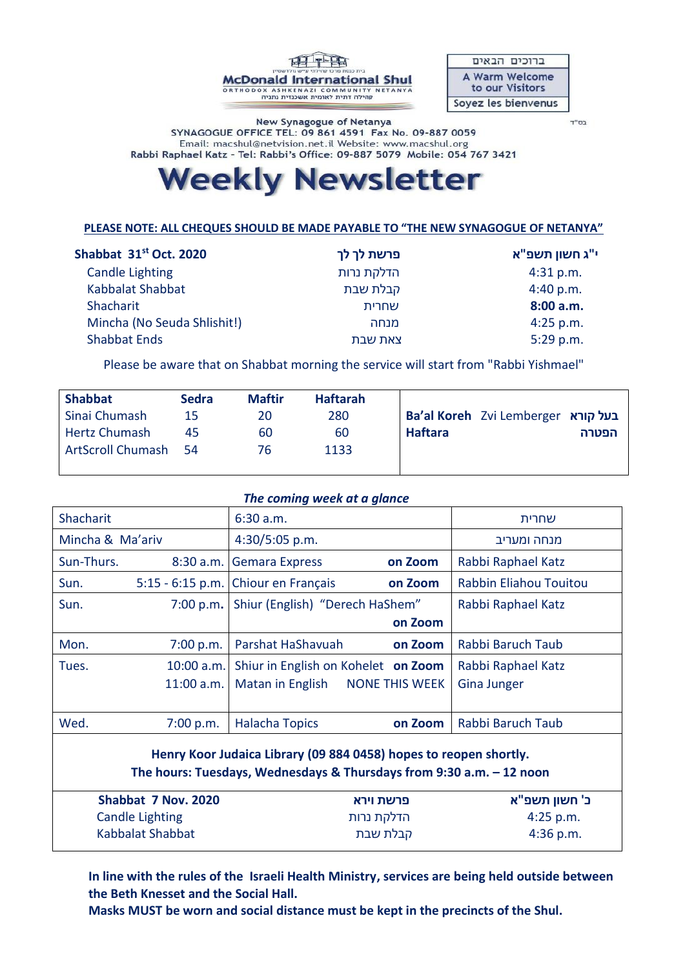

ברוכים הבאים A Warm Welcome to our Visitors Soyez les bienvenus

בס"ד

New Synagogue of Netanya SYNAGOGUE OFFICE TEL: 09 861 4591 Fax No. 09-887 0059 Email: macshul@netvision.net.il Website: www.macshul.org Rabbi Raphael Katz - Tel: Rabbi's Office: 09-887 5079 Mobile: 054 767 3421

# **Weekly Newsletter**

### **PLEASE NOTE: ALL CHEQUES SHOULD BE MADE PAYABLE TO "THE NEW SYNAGOGUE OF NETANYA"**

#### **י"ג חשון תשפ"א פרשת לך לך 2020 .Oct st31 Shabbat**  Candle Lighting Kabbalat Shabbat Shacharit הדלקת נרות קבלת שבת שחרית 4:31 p.m. 4:40 p.m. **8:00 a.m.** Mincha (No Seuda Shlishit!) Shabbat Ends מנחה צאת שבת 4:25 p.m. 5:29 p.m.

Please be aware that on Shabbat morning the service will start from "Rabbi Yishmael"

| <b>Shabbat</b>           | <b>Sedra</b> | <b>Maftir</b> | <b>Haftarah</b> |                                           |
|--------------------------|--------------|---------------|-----------------|-------------------------------------------|
| Sinai Chumash            | 15           | 20            | 280             | <b>Ba'al Koreh</b> Zvi Lemberger בעל קורא |
| <b>Hertz Chumash</b>     | 45           | 60            | 60              | <b>Haftara</b><br>הפטרה                   |
| <b>ArtScroll Chumash</b> | -54          | 76.           | 1133            |                                           |
|                          |              |               |                 |                                           |

#### *The coming week at a glance*

| Shacharit                                                            |                     | 6:30 a.m.                           |                       | שחרית                  |  |  |  |
|----------------------------------------------------------------------|---------------------|-------------------------------------|-----------------------|------------------------|--|--|--|
| Mincha & Ma'ariv                                                     |                     | 4:30/5:05 p.m.                      |                       | מנחה ומעריב            |  |  |  |
| Sun-Thurs.                                                           | 8:30 a.m.           | <b>Gemara Express</b>               | on Zoom               | Rabbi Raphael Katz     |  |  |  |
| Sun.                                                                 | $5:15 - 6:15$ p.m.  | Chiour en Français                  | on Zoom               | Rabbin Eliahou Touitou |  |  |  |
| Sun.                                                                 | 7:00 p.m.           | Shiur (English) "Derech HaShem"     |                       | Rabbi Raphael Katz     |  |  |  |
|                                                                      |                     |                                     | on Zoom               |                        |  |  |  |
| Mon.                                                                 | 7:00 p.m.           | Parshat HaShavuah                   | on Zoom               | Rabbi Baruch Taub      |  |  |  |
| Tues.                                                                | 10:00 a.m.          | Shiur in English on Kohelet on Zoom |                       | Rabbi Raphael Katz     |  |  |  |
|                                                                      | 11:00 a.m.          | Matan in English                    | <b>NONE THIS WEEK</b> | <b>Gina Junger</b>     |  |  |  |
|                                                                      |                     |                                     |                       |                        |  |  |  |
| Wed.                                                                 | 7:00 p.m.           | <b>Halacha Topics</b>               | on Zoom               | Rabbi Baruch Taub      |  |  |  |
| Henry Koor Judaica Library (09 884 0458) hopes to reopen shortly.    |                     |                                     |                       |                        |  |  |  |
| The hours: Tuesdays, Wednesdays & Thursdays from 9:30 a.m. - 12 noon |                     |                                     |                       |                        |  |  |  |
|                                                                      |                     |                                     |                       |                        |  |  |  |
|                                                                      | Shabbat 7 Nov. 2020 |                                     | פרשת וירא             | ב' חשוו תשפ"א          |  |  |  |

| Shabbat 7 Nov. 2020 | פרשת וירא  | כ' חשון תשפ"א |
|---------------------|------------|---------------|
| Candle Lighting     | הדלקת נרות | $4:25$ p.m.   |
| Kabbalat Shabbat    | קבלת שבת   | $4:36$ p.m.   |

 **In line with the rules of the Israeli Health Ministry, services are being held outside between the Beth Knesset and the Social Hall.**

 **Masks MUST be worn and social distance must be kept in the precincts of the Shul.**